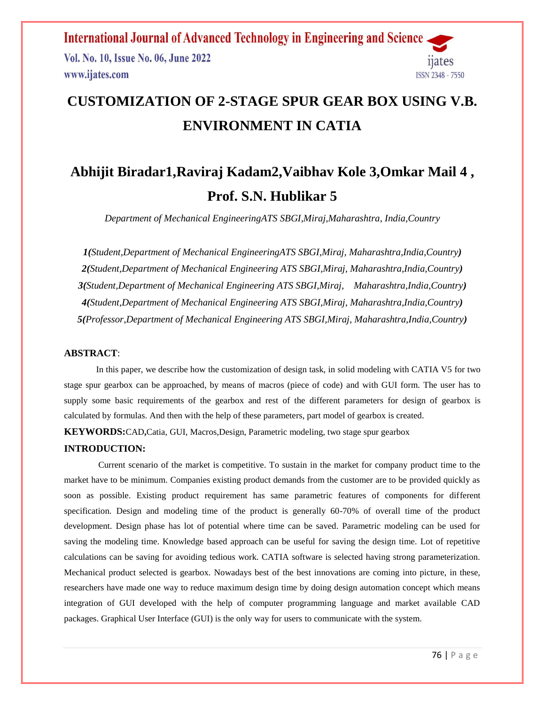Vol. No. 10, Issue No. 06, June 2022 www.ijates.com



# **CUSTOMIZATION OF 2-STAGE SPUR GEAR BOX USING V.B. ENVIRONMENT IN CATIA**

# **Abhijit Biradar1,Raviraj Kadam2,Vaibhav Kole 3,Omkar Mail 4 , Prof. S.N. Hublikar 5**

*Department of Mechanical EngineeringATS SBGI,Miraj,Maharashtra, India,Country*

*1(Student,Department of Mechanical EngineeringATS SBGI,Miraj, Maharashtra,India,Country) 2(Student,Department of Mechanical Engineering ATS SBGI,Miraj, Maharashtra,India,Country) 3(Student,Department of Mechanical Engineering ATS SBGI,Miraj, Maharashtra,India,Country) 4(Student,Department of Mechanical Engineering ATS SBGI,Miraj, Maharashtra,India,Country) 5(Professor,Department of Mechanical Engineering ATS SBGI,Miraj, Maharashtra,India,Country)*

### **ABSTRACT**:

In this paper, we describe how the customization of design task, in solid modeling with CATIA V5 for two stage spur gearbox can be approached, by means of macros (piece of code) and with GUI form. The user has to supply some basic requirements of the gearbox and rest of the different parameters for design of gearbox is calculated by formulas. And then with the help of these parameters, part model of gearbox is created.

**KEYWORDS:**CAD**,**Catia, GUI, Macros,Design, Parametric modeling, two stage spur gearbox

#### **INTRODUCTION:**

Current scenario of the market is competitive. To sustain in the market for company product time to the market have to be minimum. Companies existing product demands from the customer are to be provided quickly as soon as possible. Existing product requirement has same parametric features of components for different specification. Design and modeling time of the product is generally 60-70% of overall time of the product development. Design phase has lot of potential where time can be saved. Parametric modeling can be used for saving the modeling time. Knowledge based approach can be useful for saving the design time. Lot of repetitive calculations can be saving for avoiding tedious work. CATIA software is selected having strong parameterization. Mechanical product selected is gearbox. Nowadays best of the best innovations are coming into picture, in these, researchers have made one way to reduce maximum design time by doing design automation concept which means integration of GUI developed with the help of computer programming language and market available CAD packages. Graphical User Interface (GUI) is the only way for users to communicate with the system.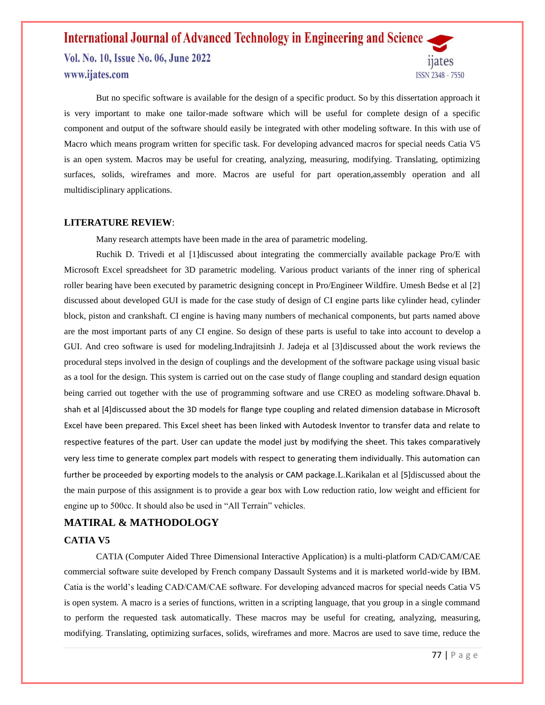### **International Journal of Advanced Technology in Engineering and Science** Vol. No. 10, Issue No. 06, June 2022 www.ijates.com ISSN 2348 - 7550

But no specific software is available for the design of a specific product. So by this dissertation approach it is very important to make one tailor-made software which will be useful for complete design of a specific component and output of the software should easily be integrated with other modeling software. In this with use of Macro which means program written for specific task. For developing advanced macros for special needs Catia V5 is an open system. Macros may be useful for creating, analyzing, measuring, modifying. Translating, optimizing surfaces, solids, wireframes and more. Macros are useful for part operation,assembly operation and all multidisciplinary applications.

#### **LITERATURE REVIEW**:

Many research attempts have been made in the area of parametric modeling.

Ruchik D. Trivedi et al [1]discussed about integrating the commercially available package Pro/E with Microsoft Excel spreadsheet for 3D parametric modeling. Various product variants of the inner ring of spherical roller bearing have been executed by parametric designing concept in Pro/Engineer Wildfire. Umesh Bedse et al [2] discussed about developed GUI is made for the case study of design of CI engine parts like cylinder head, cylinder block, piston and crankshaft. CI engine is having many numbers of mechanical components, but parts named above are the most important parts of any CI engine. So design of these parts is useful to take into account to develop a GUI. And creo software is used for modeling.Indrajitsinh J. Jadeja et al [3]discussed about the work reviews the procedural steps involved in the design of couplings and the development of the software package using visual basic as a tool for the design. This system is carried out on the case study of flange coupling and standard design equation being carried out together with the use of programming software and use CREO as modeling software. Dhaval b. shah et al [4]discussed about the 3D models for flange type coupling and related dimension database in Microsoft Excel have been prepared. This Excel sheet has been linked with Autodesk Inventor to transfer data and relate to respective features of the part. User can update the model just by modifying the sheet. This takes comparatively very less time to generate complex part models with respect to generating them individually. This automation can further be proceeded by exporting models to the analysis or CAM package.L.Karikalan et al [5]discussed about the the main purpose of this assignment is to provide a gear box with Low reduction ratio, low weight and efficient for engine up to 500cc. It should also be used in "All Terrain" vehicles.

#### **MATIRAL & MATHODOLOGY**

#### **CATIA V5**

CATIA (Computer Aided Three Dimensional Interactive Application) is a multi-platform CAD/CAM/CAE commercial software suite developed by French company Dassault Systems and it is marketed world-wide by IBM. Catia is the world's leading CAD/CAM/CAE software. For developing advanced macros for special needs Catia V5 is open system. A macro is a series of functions, written in a scripting language, that you group in a single command to perform the requested task automatically. These macros may be useful for creating, analyzing, measuring, modifying. Translating, optimizing surfaces, solids, wireframes and more. Macros are used to save time, reduce the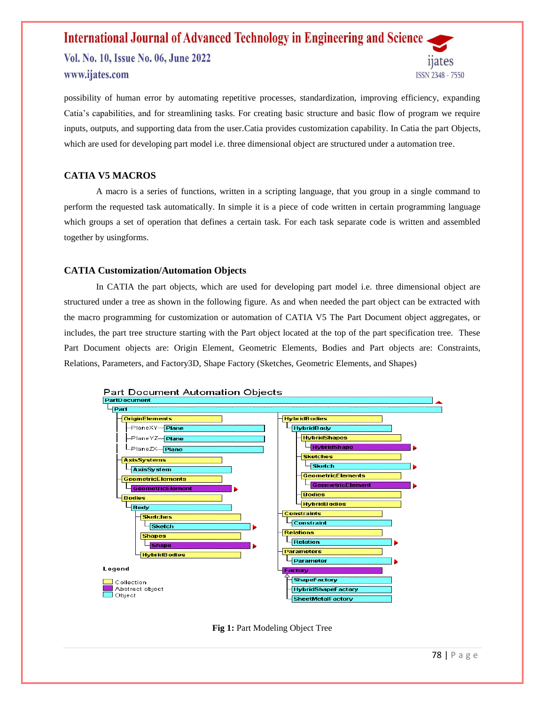Vol. No. 10, Issue No. 06, June 2022 www.ijates.com



possibility of human error by automating repetitive processes, standardization, improving efficiency, expanding Catia's capabilities, and for streamlining tasks. For creating basic structure and basic flow of program we require inputs, outputs, and supporting data from the user.Catia provides customization capability. In Catia the part Objects, which are used for developing part model i.e. three dimensional object are structured under a automation tree.

### **CATIA V5 MACROS**

A macro is a series of functions, written in a scripting language, that you group in a single command to perform the requested task automatically. In simple it is a piece of code written in certain programming language which groups a set of operation that defines a certain task. For each task separate code is written and assembled together by usingforms.

#### **CATIA Customization/Automation Objects**

In CATIA the part objects, which are used for developing part model i.e. three dimensional object are structured under a tree as shown in the following figure. As and when needed the part object can be extracted with the macro programming for customization or automation of CATIA V5 The Part Document object aggregates, or includes, the part tree structure starting with the Part object located at the top of the part specification tree. These Part Document objects are: Origin Element, Geometric Elements, Bodies and Part objects are: Constraints, Relations, Parameters, and Factory3D, Shape Factory (Sketches, Geometric Elements, and Shapes)



**Fig 1: Part Modeling Object Tree**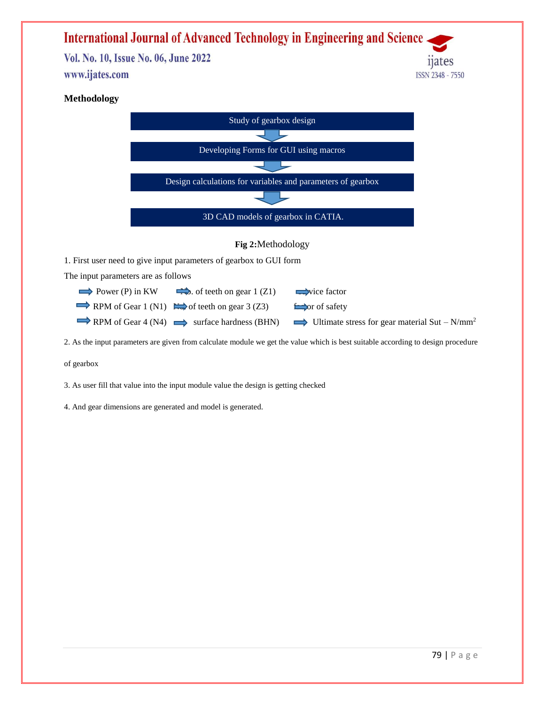Vol. No. 10, Issue No. 06, June 2022 www.ijates.com



### **Methodology**



2. As the input parameters are given from calculate module we get the value which is best suitable according to design procedure

of gearbox

3. As user fill that value into the input module value the design is getting checked

4. And gear dimensions are generated and model is generated.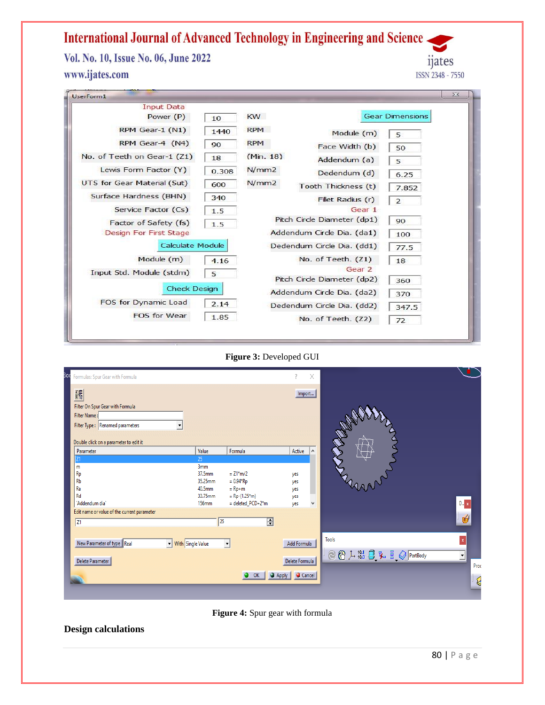Vol. No. 10, Issue No. 06, June 2022 www.ijates.com

ijates ISSN 2348 - 7550

| <b>Input Data</b>           |       |            |                             |                        |
|-----------------------------|-------|------------|-----------------------------|------------------------|
| Power (P)                   | 10    | KW         |                             | <b>Gear Dimensions</b> |
| RPM Gear-1 (N1)             | 1440  | <b>RPM</b> | Module (m)                  | 5                      |
| RPM Gear-4 (N4)             | 90    | <b>RPM</b> | Face Width (b)              | 50                     |
| No. of Teeth on Gear-1 (Z1) | 18    | (Min. 18)  | Addendum (a)                | 5                      |
| Lewis Form Factor (Y)       | 0.308 | N/mm2      | Dedendum (d)                | 6.25                   |
| UTS for Gear Material (Sut) | 600   | N/mm2      | Tooth Thickness (t)         | 7.852                  |
| Surface Hardness (BHN)      | 340   |            | Fillet Radius (r)           | $\overline{2}$         |
| Service Factor (Cs)         | 1.5   |            | Gear 1                      |                        |
| Factor of Safety (fs)       | 1.5   |            | Pitch Circle Diameter (dp1) | 90                     |
| Design For First Stage      |       |            | Addendum Circle Dia. (da1)  | 100                    |
| <b>Calculate Module</b>     |       |            | Dedendum Circle Dia. (dd1)  | 77.5                   |
| Module (m)                  | 4.16  |            | No. of Teeth. (Z1)          | 18                     |
| Input Std. Module (stdm)    | 5     |            | Gear <sub>2</sub>           |                        |
|                             |       |            | Pitch Circle Diameter (dp2) | 360                    |
| <b>Check Design</b>         |       |            | Addendum Circle Dia. (da2)  | 370                    |
| FOS for Dynamic Load        | 2.14  |            | Dedendum Circle Dia. (dd2)  | 347.5                  |
| <b>FOS for Wear</b>         | 1.85  |            | No. of Teeth. (Z2)          | 72                     |

**Figure 3:** Developed GUI

| iod<br>Formulas: Spur Gear with Formula                                                                                            |                                                                                          |                                                                                             | $\times$                                                  |                                                                      |              |
|------------------------------------------------------------------------------------------------------------------------------------|------------------------------------------------------------------------------------------|---------------------------------------------------------------------------------------------|-----------------------------------------------------------|----------------------------------------------------------------------|--------------|
| 鄙<br>Filter On Spur Gear with Formula<br>Filter Name:<br>Filter Type: Renamed parameters<br>Double click on a parameter to edit it |                                                                                          |                                                                                             | Import                                                    | Annel                                                                |              |
| Parameter<br>Z1<br>m<br>Rp<br>Rb<br>Ra<br>Rd<br>`Addendum dia`<br>Edit name or value of the current parameter                      | Value<br>25<br>3 <sub>mm</sub><br>37.5mm<br>35.25mm<br>40.5mm<br>33.75mm<br><b>156mm</b> | Formula<br>$= Z1* m/2$<br>$= 0.94*Rp$<br>$=$ Rp+m<br>$=$ Rp-(1.25*m)<br>$=$ deleted_PCD+2*m | Active<br>$\land$<br>yes<br>yes<br>yes<br>yes<br>yes<br>٧ | $D_{\cdots}$ x                                                       |              |
| $\sqrt{21}$                                                                                                                        |                                                                                          | $\overline{\Xi}$<br>25                                                                      |                                                           | 嚩                                                                    |              |
| New Parameter of type Real<br>Delete Parameter                                                                                     | Vith Single Value                                                                        | $\overline{\phantom{a}}$<br>OK                                                              | Add Formula<br>Delete Formula<br>Apply<br>Cancel          | <b>Tools</b><br>$\mathbf x$<br><b>◎ ⑧ 广 13 日 弘 昌 ◎ PartBody</b><br>⊻ | Proc<br>ାଣ୍ଡ |

**Figure 4:** Spur gear with formula

**Design calculations**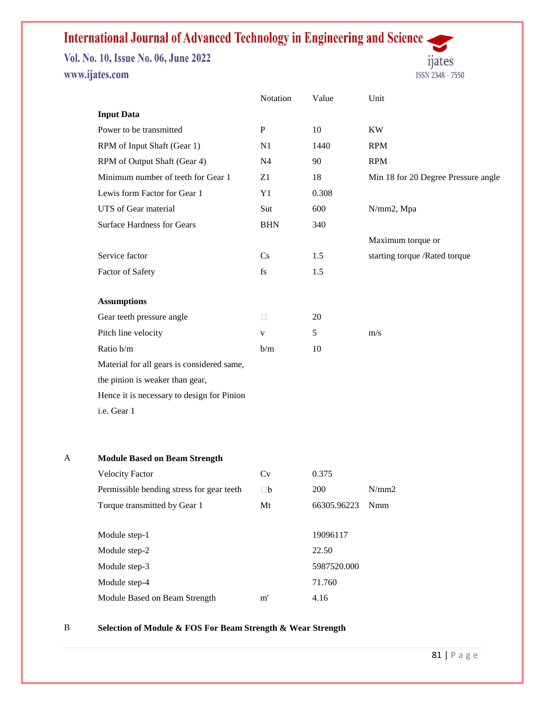Vol. No. 10, Issue No. 06, June 2022 www.ijates.com



 $Notation$  Value Unit  $\parallel$ 

| <b>Input Data</b>                          |                |                 |                                     |
|--------------------------------------------|----------------|-----------------|-------------------------------------|
| Power to be transmitted                    | ${\bf P}$      | 10              | <b>KW</b>                           |
| RPM of Input Shaft (Gear 1)                | N1             | 1440            | <b>RPM</b>                          |
| RPM of Output Shaft (Gear 4)               | N <sub>4</sub> | 90              | <b>RPM</b>                          |
| Minimum number of teeth for Gear 1         | Z1             | 18              | Min 18 for 20 Degree Pressure angle |
| Lewis form Factor for Gear 1               | Y1             | 0.308           |                                     |
| UTS of Gear material                       | Sut            | 600             | N/mm2, Mpa                          |
| <b>Surface Hardness for Gears</b>          | <b>BHN</b>     | 340             |                                     |
|                                            |                |                 | Maximum torque or                   |
| Service factor                             | Cs             | 1.5             | starting torque /Rated torque       |
| Factor of Safety                           | fs             | 1.5             |                                     |
|                                            |                |                 |                                     |
| <b>Assumptions</b>                         |                |                 |                                     |
| Gear teeth pressure angle                  | $\Box$         | 20              |                                     |
| Pitch line velocity                        | V              | $5\overline{)}$ | m/s                                 |
| Ratio b/m                                  | b/m            | 10              |                                     |
| Material for all gears is considered same, |                |                 |                                     |
| the pinion is weaker than gear,            |                |                 |                                     |
| Hence it is necessary to design for Pinion |                |                 |                                     |
| i.e. Gear 1                                |                |                 |                                     |
|                                            |                |                 |                                     |

#### A **Module Based on Beam Strength**

| <b>Velocity Factor</b>                    | Cv       | 0.375       |            |  |
|-------------------------------------------|----------|-------------|------------|--|
| Permissible bending stress for gear teeth | $\Box b$ | 200         | N/mm2      |  |
| Torque transmitted by Gear 1              | Mt       | 66305.96223 | <b>Nmm</b> |  |
|                                           |          |             |            |  |
| Module step-1                             |          | 19096117    |            |  |
| Module step-2                             |          | 22.50       |            |  |
| Module step-3                             |          | 5987520.000 |            |  |
| Module step-4                             |          | 71.760      |            |  |
| Module Based on Beam Strength             | m'       | 4.16        |            |  |

### B **Selection of Module & FOS For Beam Strength & Wear Strength**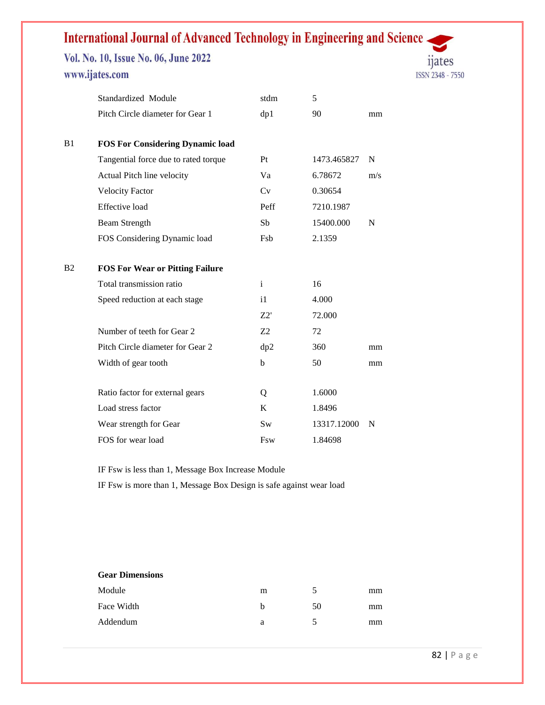Vol. No. 10, Issue No. 06, June 2022 www.ijates.com



|    | Standardized Module                     | stdm          | 5             |           |  |
|----|-----------------------------------------|---------------|---------------|-----------|--|
|    | Pitch Circle diameter for Gear 1        | dp1           | 90            | mm        |  |
| B1 | <b>FOS For Considering Dynamic load</b> |               |               |           |  |
|    | Tangential force due to rated torque    | Pt            | 1473.465827   | ${\bf N}$ |  |
|    | Actual Pitch line velocity              | Va            | 6.78672       | m/s       |  |
|    | <b>Velocity Factor</b>                  | Cv            | 0.30654       |           |  |
|    | Effective load                          | Peff          | 7210.1987     |           |  |
|    | <b>Beam Strength</b>                    | Sb            | 15400.000     | ${\bf N}$ |  |
|    | FOS Considering Dynamic load            | Fsb           | 2.1359        |           |  |
| B2 | <b>FOS For Wear or Pitting Failure</b>  |               |               |           |  |
|    | Total transmission ratio                | $\mathbf{i}$  | 16            |           |  |
|    | Speed reduction at each stage           | i1            | 4.000         |           |  |
|    |                                         | Z2'           | 72.000        |           |  |
|    | Number of teeth for Gear 2              | $\mathbf{Z}2$ | 72            |           |  |
|    | Pitch Circle diameter for Gear 2        | dp2           | 360           | mm        |  |
|    | Width of gear tooth                     | $\mathbf b$   | 50            | mm        |  |
|    | Ratio factor for external gears         | Q             | 1.6000        |           |  |
|    | Load stress factor                      | $\bf K$       | 1.8496        |           |  |
|    | Wear strength for Gear                  | Sw            | 13317.12000 N |           |  |
|    | FOS for wear load                       |               | 1.84698       |           |  |
|    |                                         | Fsw           |               |           |  |

IF Fsw is less than 1, Message Box Increase Module

IF Fsw is more than 1, Message Box Design is safe against wear load

#### **Gear Dimensions** E.g. (2008) 2014 2022 2022 2023 2024 2022 2022 2023 2024 2022 2023 2024 2022 2023 2024 2025 2026 2027

| Module     | m |    | $\rm mm$ |  |
|------------|---|----|----------|--|
| Face Width | Ð | 50 | $\rm mm$ |  |
| Addendum   | u |    | $\rm mm$ |  |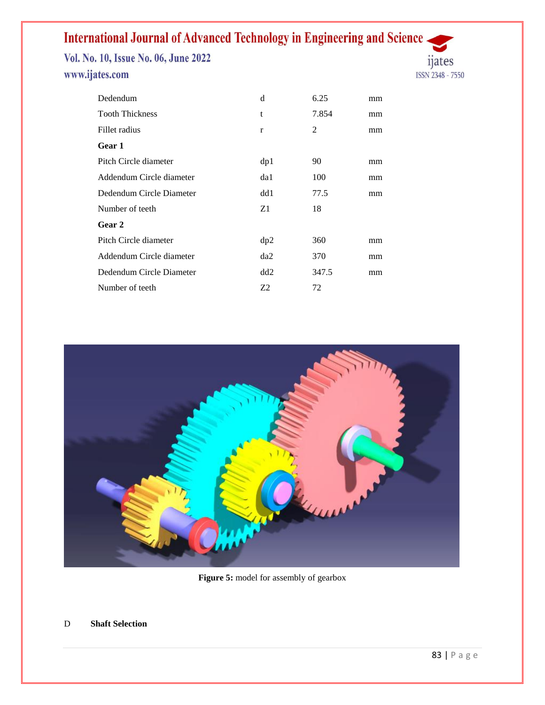Vol. No. 10, Issue No. 06, June 2022 www.ijates.com



| <b>Tooth Thickness</b><br>7.854<br>t<br>mm     |
|------------------------------------------------|
| 2<br>Fillet radius<br>$\bf r$<br>mm            |
| Gear 1                                         |
| 90<br>dp1<br>Pitch Circle diameter<br>mm       |
| 100<br>Addendum Circle diameter<br>da1<br>mm   |
| 77.5<br>Dedendum Circle Diameter<br>dd1<br>mm  |
| Z1<br>18<br>Number of teeth                    |
| Gear 2                                         |
| Pitch Circle diameter<br>360<br>dp2<br>mm      |
| Addendum Circle diameter<br>370<br>da2<br>mm   |
| Dedendum Circle Diameter<br>347.5<br>dd2<br>mm |
| Z2<br>Number of teeth<br>72                    |



Figure 5: model for assembly of gearbox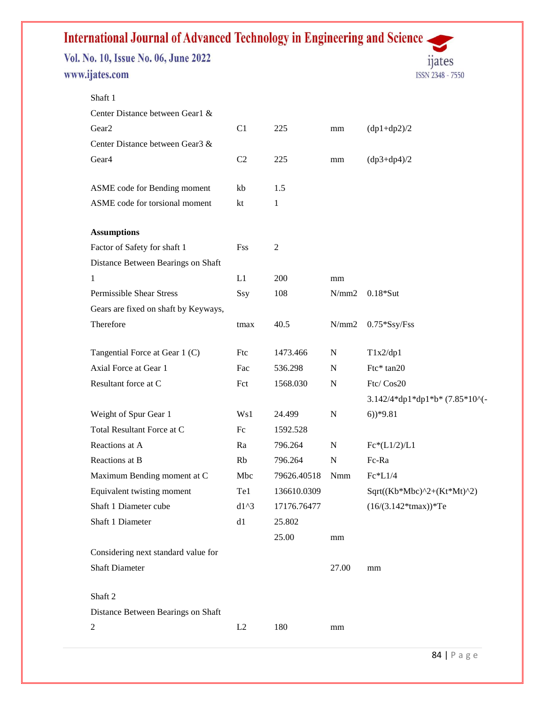Vol. No. 10, Issue No. 06, June 2022 www.ijates.com



| Shaft 1                                       |            |                |             |                                |
|-----------------------------------------------|------------|----------------|-------------|--------------------------------|
| Center Distance between Gear1 &               |            |                |             |                                |
| Gear <sub>2</sub>                             | C1         | 225            | mm          | $(dp1+dp2)/2$                  |
| Center Distance between Gear3 &               |            |                |             |                                |
| Gear <sub>4</sub>                             | C2         | 225            | mm          | $(dp3+dp4)/2$                  |
|                                               |            |                |             |                                |
| ASME code for Bending moment                  | kb         | 1.5            |             |                                |
| ASME code for torsional moment                | kt         | 1              |             |                                |
| <b>Assumptions</b>                            |            |                |             |                                |
| Factor of Safety for shaft 1                  | Fss        | $\overline{c}$ |             |                                |
| Distance Between Bearings on Shaft            |            |                |             |                                |
| 1                                             | L1         | 200            | mm          |                                |
| Permissible Shear Stress                      | Ssy        | 108            | N/mm2       | $0.18*$ Sut                    |
| Gears are fixed on shaft by Keyways,          |            |                |             |                                |
| Therefore                                     | tmax       | 40.5           | N/mm2       | $0.75*Ssy/Fss$                 |
|                                               |            |                |             |                                |
| Tangential Force at Gear 1 (C)                | Ftc        | 1473.466       | $\mathbf N$ | T1x2/dp1                       |
| Axial Force at Gear 1                         | Fac        | 536.298        | ${\bf N}$   | Ftc* tan20                     |
| Resultant force at C                          | Fct        | 1568.030       | N           | Ftc/Cos20                      |
|                                               |            |                |             | 3.142/4*dp1*dp1*b* (7.85*10^(- |
| Weight of Spur Gear 1                         | Ws1        | 24.499         | $\mathbf N$ | $(6)$ <sup>*9.81</sup>         |
| Total Resultant Force at C                    | Fc         | 1592.528       |             |                                |
| Reactions at A                                | Ra         | 796.264        | $\mathbf N$ | $Fc*(L1/2)/L1$                 |
| Reactions at B                                | Rb         | 796.264        | $\mathbf N$ | Fc-Ra                          |
| Maximum Bending moment at C                   | Mbc        | 79626.40518    | Nmm         | Fc*L1/4                        |
| Equivalent twisting moment                    | Te1        | 136610.0309    |             | $Sqrt((Kb*Mbc)^2+(Kt*Mt)^2)$   |
| Shaft 1 Diameter cube                         | $d1^{3}$   | 17176.76477    |             | $(16/(3.142*tmax))*Te$         |
| Shaft 1 Diameter                              | ${\rm d}1$ | 25.802         |             |                                |
|                                               |            | 25.00          | mm          |                                |
| Considering next standard value for           |            |                |             |                                |
| <b>Shaft Diameter</b>                         |            |                | 27.00       | mm                             |
|                                               |            |                |             |                                |
| Shaft 2<br>Distance Between Bearings on Shaft |            |                |             |                                |
| $\mathfrak{2}$                                | L2         | 180            |             |                                |
|                                               |            |                | mm          |                                |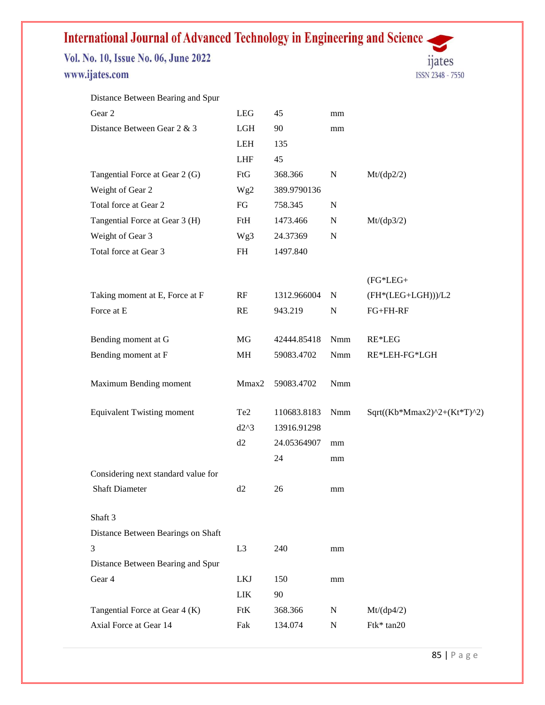Vol. No. 10, Issue No. 06, June 2022 www.ijates.com

Distance Between Bearing and Spur



| Gear 2                              | LEG             | 45          | mm          |                             |
|-------------------------------------|-----------------|-------------|-------------|-----------------------------|
| Distance Between Gear 2 & 3         | LGH             | 90          | mm          |                             |
|                                     | LEH             | 135         |             |                             |
|                                     | <b>LHF</b>      | 45          |             |                             |
| Tangential Force at Gear 2 (G)      | FtG             | 368.366     | ${\bf N}$   | Mt/(dp2/2)                  |
| Weight of Gear 2                    | Wg <sub>2</sub> | 389.9790136 |             |                             |
| Total force at Gear 2               | FG              | 758.345     | $\mathbf N$ |                             |
| Tangential Force at Gear 3 (H)      | FtH             | 1473.466    | ${\bf N}$   | Mt/(dp3/2)                  |
| Weight of Gear 3                    | Wg3             | 24.37369    | $\mathbf N$ |                             |
| Total force at Gear 3               | FH              | 1497.840    |             |                             |
|                                     |                 |             |             | $(FG^*LEG +$                |
| Taking moment at E, Force at F      | RF              | 1312.966004 | N           | $(FH*(LEG+LGH)))/L2$        |
| Force at E                          | RE              | 943.219     | N           | FG+FH-RF                    |
| Bending moment at G                 | MG              | 42444.85418 | Nmm         | RE*LEG                      |
| Bending moment at F                 | MH              | 59083.4702  | <b>Nmm</b>  | RE*LEH-FG*LGH               |
| Maximum Bending moment              | Mmax2           | 59083.4702  | Nmm         |                             |
| <b>Equivalent Twisting moment</b>   | Te <sub>2</sub> | 110683.8183 | Nmm         | Sqrt((Kb*Mmax2)^2+(Kt*T)^2) |
|                                     | $d2^{\wedge}3$  | 13916.91298 |             |                             |
|                                     | d2              | 24.05364907 | mm          |                             |
|                                     |                 | 24          | mm          |                             |
| Considering next standard value for |                 |             |             |                             |
| <b>Shaft Diameter</b>               | d2              | 26          | mm          |                             |
| Shaft 3                             |                 |             |             |                             |
| Distance Between Bearings on Shaft  |                 |             |             |                             |
| 3                                   | L <sub>3</sub>  | 240         | mm          |                             |
| Distance Between Bearing and Spur   |                 |             |             |                             |
| Gear 4                              | LKJ             | 150         | mm          |                             |
|                                     | ${\rm LIK}$     | 90          |             |                             |
| Tangential Force at Gear 4 (K)      | FtK             | 368.366     | ${\bf N}$   | Mt/(dp4/2)                  |
| Axial Force at Gear 14              | Fak             | 134.074     | ${\bf N}$   | Ftk* tan20                  |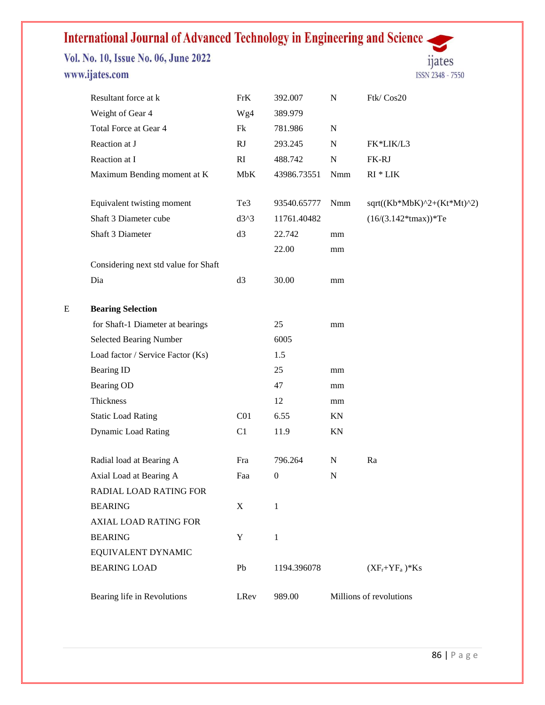Vol. No. 10, Issue No. 06, June 2022 www.ijates.com



|   | Resultant force at k                 | FrK             | 392.007          | ${\bf N}$   | Ftk/Cos20                    |
|---|--------------------------------------|-----------------|------------------|-------------|------------------------------|
|   | Weight of Gear 4                     | Wg4             | 389.979          |             |                              |
|   | Total Force at Gear 4                | Fk              | 781.986          | ${\bf N}$   |                              |
|   | Reaction at J                        | RJ              | 293.245          | ${\bf N}$   | FK*LIK/L3                    |
|   | Reaction at I                        | RI              | 488.742          | ${\bf N}$   | FK-RJ                        |
|   | Maximum Bending moment at K          | MbK             | 43986.73551      | Nmm         | $RI * LIK$                   |
|   | Equivalent twisting moment           | Te3             | 93540.65777      | Nmm         | $sqrt((Kb*MbK)^2+(Kt*Mt)^2)$ |
|   | Shaft 3 Diameter cube                | $d3^3$          | 11761.40482      |             | $(16/(3.142*tmax))*Te$       |
|   | Shaft 3 Diameter                     | d3              | 22.742           | mm          |                              |
|   |                                      |                 | 22.00            | mm          |                              |
|   | Considering next std value for Shaft |                 |                  |             |                              |
|   | Dia                                  | d3              | 30.00            | mm          |                              |
| E | <b>Bearing Selection</b>             |                 |                  |             |                              |
|   | for Shaft-1 Diameter at bearings     |                 | 25               | mm          |                              |
|   | <b>Selected Bearing Number</b>       |                 | 6005             |             |                              |
|   | Load factor / Service Factor (Ks)    |                 | 1.5              |             |                              |
|   | <b>Bearing ID</b>                    |                 | 25               | mm          |                              |
|   | Bearing OD                           |                 | 47               | mm          |                              |
|   | Thickness                            |                 | 12               | mm          |                              |
|   | <b>Static Load Rating</b>            | C <sub>01</sub> | 6.55             | ΚN          |                              |
|   | <b>Dynamic Load Rating</b>           | C1              | 11.9             | KN          |                              |
|   | Radial load at Bearing A             | Fra             | 796.264          | ${\bf N}$   | Ra                           |
|   | Axial Load at Bearing A              | Faa             | $\boldsymbol{0}$ | $\mathbf N$ |                              |
|   | RADIAL LOAD RATING FOR               |                 |                  |             |                              |
|   | <b>BEARING</b>                       | X               | 1                |             |                              |
|   | <b>AXIAL LOAD RATING FOR</b>         |                 |                  |             |                              |
|   | <b>BEARING</b>                       | Y               | 1                |             |                              |
|   | EQUIVALENT DYNAMIC                   |                 |                  |             |                              |
|   | <b>BEARING LOAD</b>                  | Pb              | 1194.396078      |             | $(XF_r+YF_a)*Ks$             |
|   | Bearing life in Revolutions          | LRev            | 989.00           |             | Millions of revolutions      |
|   |                                      |                 |                  |             |                              |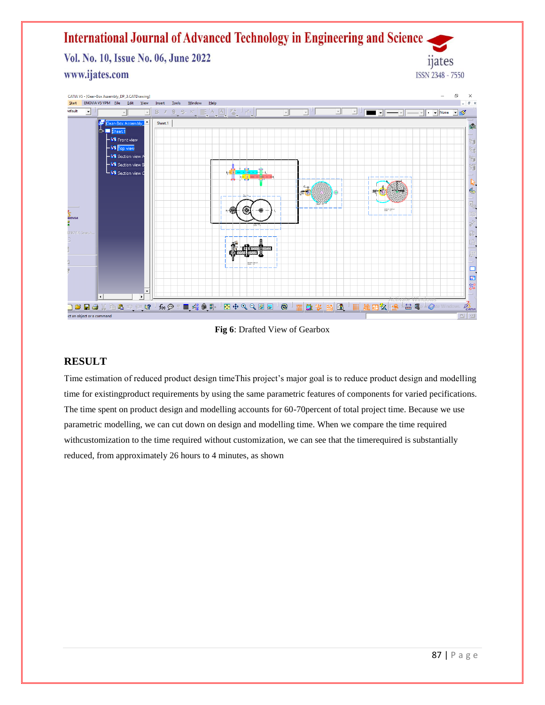Vol. No. 10, Issue No. 06, June 2022 www.ijates.com



**Fig 6**: Drafted View of Gearbox

### **RESULT**

Time estimation of reduced product design timeThis project's major goal is to reduce product design and modelling time for existingproduct requirements by using the same parametric features of components for varied pecifications. The time spent on product design and modelling accounts for 60-70percent of total project time. Because we use parametric modelling, we can cut down on design and modelling time. When we compare the time required withcustomization to the time required without customization, we can see that the timerequired is substantially reduced, from approximately 26 hours to 4 minutes, as shown

**nates** 

ISSN 2348 - 7550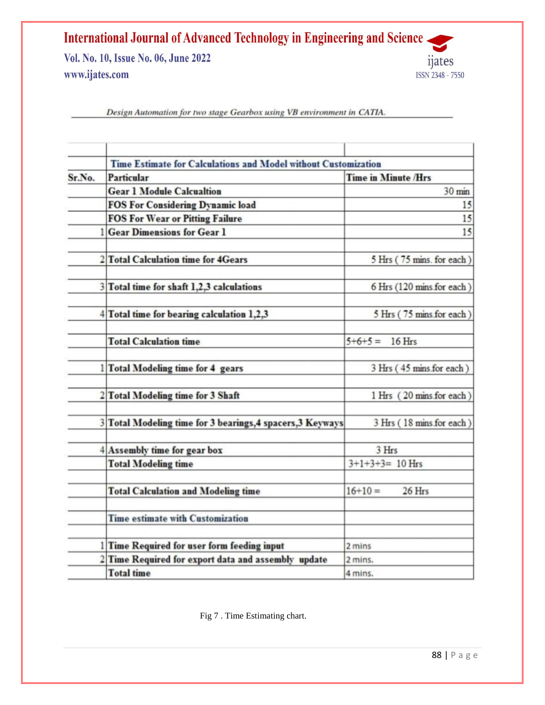Vol. No. 10, Issue No. 06, June 2022 www.ijates.com



Design Automation for two stage Gearbox using VB environment in CATIA.

|        | Time Estimate for Calculations and Model without Customization |                            |  |  |
|--------|----------------------------------------------------------------|----------------------------|--|--|
| Sr.No. | <b>Particular</b>                                              | <b>Time in Minute /Hrs</b> |  |  |
|        | <b>Gear 1 Module Calcualtion</b>                               | 30 min                     |  |  |
|        | <b>FOS For Considering Dynamic load</b>                        | 15                         |  |  |
|        | <b>FOS For Wear or Pitting Failure</b>                         | 15                         |  |  |
|        | <b>Gear Dimensions for Gear 1</b>                              | 15                         |  |  |
|        | 2 Total Calculation time for 4Gears                            | 5 Hrs (75 mins. for each)  |  |  |
|        | 3 Total time for shaft 1,2,3 calculations                      | 6 Hrs (120 mins for each)  |  |  |
|        | 4 Total time for bearing calculation 1,2,3                     | 5 Hrs (75 mins for each)   |  |  |
|        | <b>Total Calculation time</b>                                  | $5+6+5=$<br>16 Hrs         |  |  |
|        | 1 Total Modeling time for 4 gears                              | 3 Hrs (45 mins for each)   |  |  |
|        | 2 Total Modeling time for 3 Shaft                              | 1 Hrs (20 mins for each)   |  |  |
|        | 3 Total Modeling time for 3 bearings, 4 spacers, 3 Keyways     | 3 Hrs (18 mins for each)   |  |  |
|        | 4 Assembly time for gear box                                   | 3 Hrs                      |  |  |
|        | <b>Total Modeling time</b>                                     | $3+1+3+3=10$ Hrs           |  |  |
|        | <b>Total Calculation and Modeling time</b>                     | $16+10=$<br>26 Hrs         |  |  |
|        | <b>Time estimate with Customization</b>                        |                            |  |  |
|        | 1 Time Required for user form feeding input                    | 2 mins                     |  |  |
|        | 2 Time Required for export data and assembly update            | 2 mins.                    |  |  |
|        | <b>Total time</b>                                              | 4 mins.                    |  |  |

Fig 7 . Time Estimating chart.